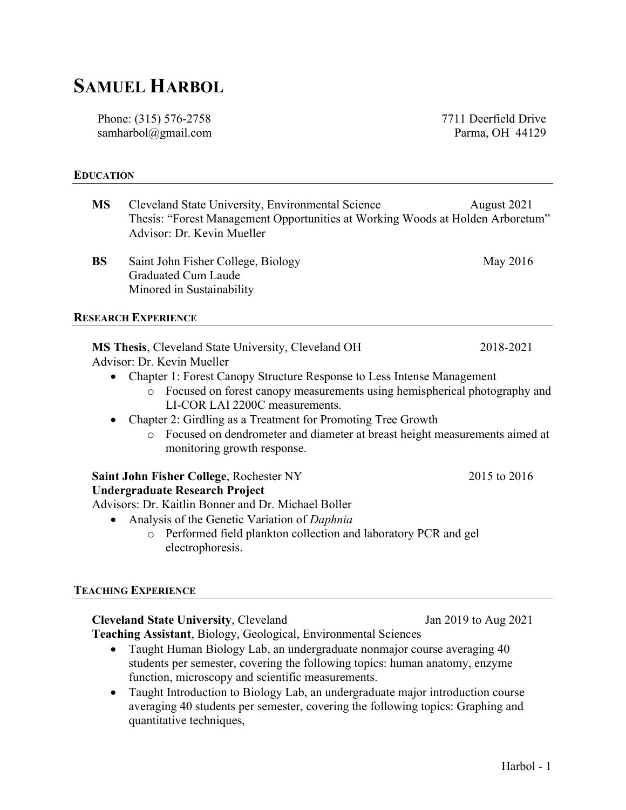# SAMUEL HARBOL

Phone: (315) 576-2758 samharbol@gmail.com 7711 Deerfield Drive Parma, OH 44129

### EDUCATION

| August 2021<br>Thesis: "Forest Management Opportunities at Working Woods at Holden Arboretum"                                                                                                                                                  |
|------------------------------------------------------------------------------------------------------------------------------------------------------------------------------------------------------------------------------------------------|
| May 2016                                                                                                                                                                                                                                       |
|                                                                                                                                                                                                                                                |
| 2018-2021<br>Chapter 1: Forest Canopy Structure Response to Less Intense Management<br>Focused on forest canopy measurements using hemispherical photography and<br>Focused on dendrometer and diameter at breast height measurements aimed at |
| 2015 to 2016<br>o Performed field plankton collection and laboratory PCR and gel                                                                                                                                                               |
|                                                                                                                                                                                                                                                |

## TEACHING EXPERIENCE

Cleveland State University, Cleveland Jan 2019 to Aug 2021 Teaching Assistant, Biology, Geological, Environmental Sciences

- Taught Human Biology Lab, an undergraduate nonmajor course averaging 40 students per semester, covering the following topics: human anatomy, enzyme function, microscopy and scientific measurements.
- Taught Introduction to Biology Lab, an undergraduate major introduction course averaging 40 students per semester, covering the following topics: Graphing and quantitative techniques,